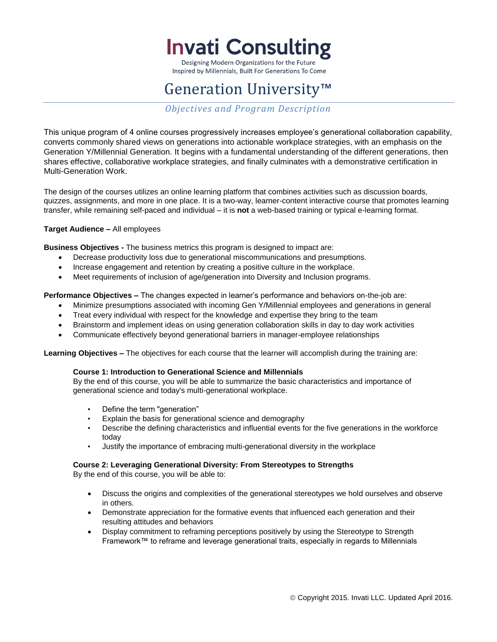**Invati Consulting** 

Designing Modern Organizations for the Future Inspired by Millennials, Built For Generations To Come

# Generation University™

*Objectives and Program Description*

This unique program of 4 online courses progressively increases employee's generational collaboration capability, converts commonly shared views on generations into actionable workplace strategies, with an emphasis on the Generation Y/Millennial Generation. It begins with a fundamental understanding of the different generations, then shares effective, collaborative workplace strategies, and finally culminates with a demonstrative certification in Multi-Generation Work.

The design of the courses utilizes an online learning platform that combines activities such as discussion boards, quizzes, assignments, and more in one place. It is a two-way, learner-content interactive course that promotes learning transfer, while remaining self-paced and individual – it is **not** a web-based training or typical e-learning format.

# **Target Audience –** All employees

**Business Objectives -** The business metrics this program is designed to impact are:

- Decrease productivity loss due to generational miscommunications and presumptions.
- Increase engagement and retention by creating a positive culture in the workplace.
- Meet requirements of inclusion of age/generation into Diversity and Inclusion programs.

**Performance Objectives –** The changes expected in learner's performance and behaviors on-the-job are:

- Minimize presumptions associated with incoming Gen Y/Millennial employees and generations in general
- Treat every individual with respect for the knowledge and expertise they bring to the team
- Brainstorm and implement ideas on using generation collaboration skills in day to day work activities
- Communicate effectively beyond generational barriers in manager-employee relationships

**Learning Objectives –** The objectives for each course that the learner will accomplish during the training are:

#### **Course 1: Introduction to Generational Science and Millennials**

By the end of this course, you will be able to summarize the basic characteristics and importance of generational science and today's multi-generational workplace.

- Define the term "generation"
- Explain the basis for generational science and demography
- Describe the defining characteristics and influential events for the five generations in the workforce today
- Justify the importance of embracing multi-generational diversity in the workplace

#### **Course 2: Leveraging Generational Diversity: From Stereotypes to Strengths**

By the end of this course, you will be able to:

- Discuss the origins and complexities of the generational stereotypes we hold ourselves and observe in others.
- Demonstrate appreciation for the formative events that influenced each generation and their resulting attitudes and behaviors
- Display commitment to reframing perceptions positively by using the Stereotype to Strength Framework™ to reframe and leverage generational traits, especially in regards to Millennials